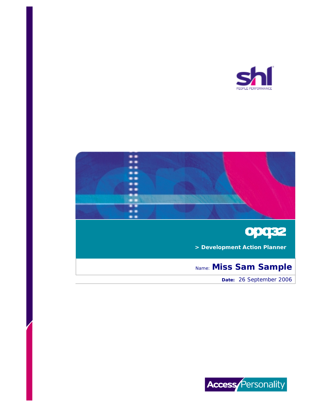





 **> Development Action Planner**

# Name: **Miss Sam Sample**

 **Date:** 26 September 2006

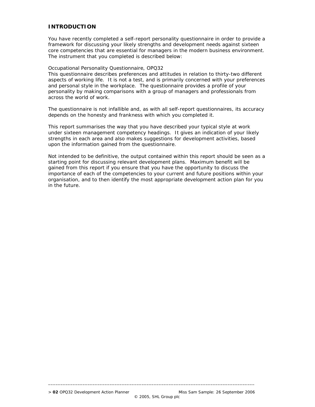## **INTRODUCTION**

You have recently completed a self-report personality questionnaire in order to provide a framework for discussing your likely strengths and development needs against sixteen core competencies that are essential for managers in the modern business environment. The instrument that you completed is described below:

#### Occupational Personality Questionnaire, OPQ32

This questionnaire describes preferences and attitudes in relation to thirty-two different aspects of working life. It is not a test, and is primarily concerned with your preferences and personal style in the workplace. The questionnaire provides a profile of your personality by making comparisons with a group of managers and professionals from across the world of work.

The questionnaire is not infallible and, as with all self-report questionnaires, its accuracy depends on the honesty and frankness with which you completed it.

This report summarises the way that you have described your typical style at work under sixteen management competency headings. It gives an indication of your likely strengths in each area and also makes suggestions for development activities, based upon the information gained from the questionnaire.

Not intended to be definitive, the output contained within this report should be seen as a starting point for discussing relevant development plans. Maximum benefit will be gained from this report if you ensure that you have the opportunity to discuss the importance of each of the competencies to your current and future positions within your organisation, and to then identify the most appropriate development action plan for you in the future.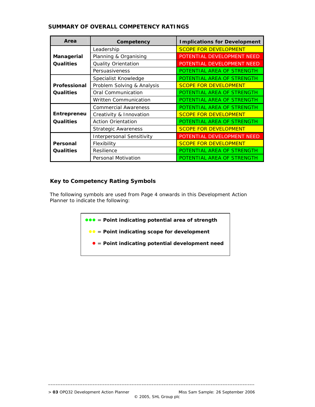| Area         | Competency                   | <b>Implications for Development</b> |  |  |
|--------------|------------------------------|-------------------------------------|--|--|
|              | Leadership                   | <b>SCOPE FOR DEVELOPMENT</b>        |  |  |
| Managerial   | Planning & Organising        | POTENTIAL DEVELOPMENT NEED          |  |  |
| Qualities    | Quality Orientation          | POTENTIAL DEVELOPMENT NEED          |  |  |
|              | Persuasiveness               | POTENTIAL AREA OF STRENGTH          |  |  |
|              | Specialist Knowledge         | POTENTIAL AREA OF STRENGTH          |  |  |
| Professional | Problem Solving & Analysis   | <b>SCOPE FOR DEVELOPMENT</b>        |  |  |
| Qualities    | Oral Communication           | POTENTIAL AREA OF STRENGTH          |  |  |
|              | <b>Written Communication</b> | POTENTIAL AREA OF STRENGTH          |  |  |
|              | <b>Commercial Awareness</b>  | POTENTIAL AREA OF STRENGTH          |  |  |
| Entrepreneu  | Creativity & Innovation      | <b>SCOPE FOR DEVELOPMENT</b>        |  |  |
| Qualities    | <b>Action Orientation</b>    | POTENTIAL AREA OF STRENGTH          |  |  |
|              | <b>Strategic Awareness</b>   | <b>SCOPE FOR DEVELOPMENT</b>        |  |  |
|              | Interpersonal Sensitivity    | POTENTIAL DEVELOPMENT NEED          |  |  |
| Personal     | Flexibility                  | <b>SCOPE FOR DEVELOPMENT</b>        |  |  |
| Qualities    | Resilience                   | POTENTIAL AREA OF STRENGTH          |  |  |
|              | Personal Motivation          | POTENTIAL AREA OF STRENGTH          |  |  |

## **SUMMARY OF OVERALL COMPETENCY RATINGS**

## **Key to Competency Rating Symbols**

 The following symbols are used from Page 4 onwards in this Development Action Planner to indicate the following:

 $\bullet\bullet$  = Point indicating potential area of strength

**• •** Point indicating scope for development

= **Point indicating potential development need**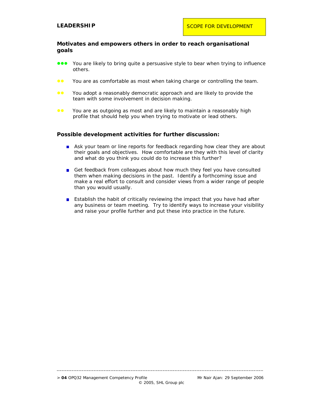#### **Motivates and empowers others in order to reach organisational goals**

- You are likely to bring quite a persuasive style to bear when trying to influence others.
- **••** You are as comfortable as most when taking charge or controlling the team.
- **CO** You adopt a reasonably democratic approach and are likely to provide the team with some involvement in decision making.
- **••** You are as outgoing as most and are likely to maintain a reasonably high profile that should help you when trying to motivate or lead others.

#### **Possible development activities for further discussion:**

- Ask your team or line reports for feedback regarding how clear they are about their goals and objectives. How comfortable are they with this level of clarity and what do you think you could do to increase this further?
- Get feedback from colleagues about how much they feel you have consulted them when making decisions in the past. Identify a forthcoming issue and make a real effort to consult and consider views from a wider range of people than you would usually.
- **E** Establish the habit of critically reviewing the impact that you have had after any business or team meeting. Try to identify ways to increase your visibility and raise your profile further and put these into practice in the future.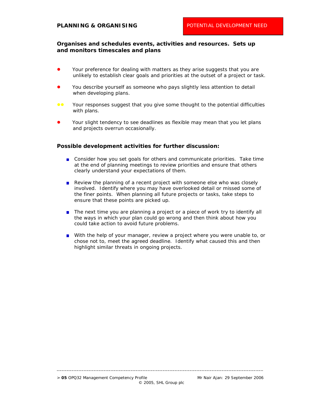## **Organises and schedules events, activities and resources. Sets up and monitors timescales and plans**

- Your preference for dealing with matters as they arise suggests that you are unlikely to establish clear goals and priorities at the outset of a project or task.
- You describe yourself as someone who pays slightly less attention to detail when developing plans.
- Your responses suggest that you give some thought to the potential difficulties with plans.
- Your slight tendency to see deadlines as flexible may mean that you let plans and projects overrun occasionally.

#### **Possible development activities for further discussion:**

- **Consider how you set goals for others and communicate priorities. Take time** at the end of planning meetings to review priorities and ensure that others clearly understand your expectations of them.
- Review the planning of a recent project with someone else who was closely involved. Identify where you may have overlooked detail or missed some of the finer points. When planning all future projects or tasks, take steps to ensure that these points are picked up.
- The next time you are planning a project or a piece of work try to identify all the ways in which your plan could go wrong and then think about how you could take action to avoid future problems.
- With the help of your manager, review a project where you were unable to, or chose not to, meet the agreed deadline. Identify what caused this and then highlight similar threats in ongoing projects.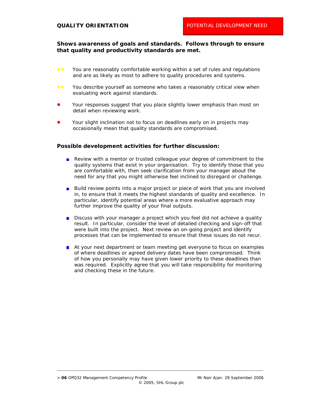## **Shows awareness of goals and standards. Follows through to ensure that quality and productivity standards are met.**

- **CO** You are reasonably comfortable working within a set of rules and regulations and are as likely as most to adhere to quality procedures and systems.
- **••** You describe yourself as someone who takes a reasonably critical view when evaluating work against standards.
- Your responses suggest that you place slightly lower emphasis than most on detail when reviewing work.
- Your slight inclination not to focus on deadlines early on in projects may occasionally mean that quality standards are compromised.

#### **Possible development activities for further discussion:**

- Review with a mentor or trusted colleague your degree of commitment to the quality systems that exist in your organisation. Try to identify those that you are comfortable with, then seek clarification from your manager about the need for any that you might otherwise feel inclined to disregard or challenge.
- **Build review points into a major project or piece of work that you are involved** in, to ensure that it meets the highest standards of quality and excellence. In particular, identify potential areas where a more evaluative approach may further improve the quality of your final outputs.
- Discuss with your manager a project which you feel did not achieve a quality result. In particular, consider the level of detailed checking and sign-off that were built into the project. Next review an on-going project and identify processes that can be implemented to ensure that these issues do not recur.
- At your next department or team meeting get everyone to focus on examples of where deadlines or agreed delivery dates have been compromised. Think of how you personally may have given lower priority to these deadlines than was required. Explicitly agree that you will take responsibility for monitoring and checking these in the future.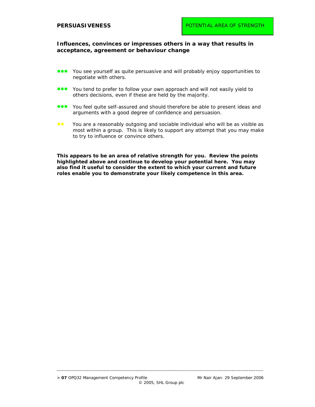#### **Influences, convinces or impresses others in a way that results in acceptance, agreement or behaviour change**

- You see yourself as quite persuasive and will probably enjoy opportunities to negotiate with others.
- You tend to prefer to follow your own approach and will not easily yield to others decisions, even if these are held by the majority.
- You feel quite self-assured and should therefore be able to present ideas and arguments with a good degree of confidence and persuasion.
- **••** You are a reasonably outgoing and sociable individual who will be as visible as most within a group. This is likely to support any attempt that you may make to try to influence or convince others.

**This appears to be an area of relative strength for you. Review the points highlighted above and continue to develop your potential here. You may also find it useful to consider the extent to which your current and future roles enable you to demonstrate your likely competence in this area.**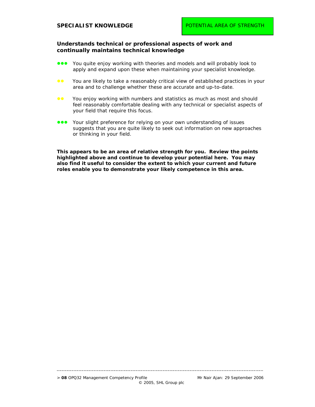#### **Understands technical or professional aspects of work and continually maintains technical knowledge**

- You quite enjoy working with theories and models and will probably look to apply and expand upon these when maintaining your specialist knowledge.
- You are likely to take a reasonably critical view of established practices in your area and to challenge whether these are accurate and up-to-date.
- **••** You enjoy working with numbers and statistics as much as most and should feel reasonably comfortable dealing with any technical or specialist aspects of your field that require this focus.
- Your slight preference for relying on your own understanding of issues suggests that you are quite likely to seek out information on new approaches or thinking in your field.

**This appears to be an area of relative strength for you. Review the points highlighted above and continue to develop your potential here. You may also find it useful to consider the extent to which your current and future roles enable you to demonstrate your likely competence in this area.**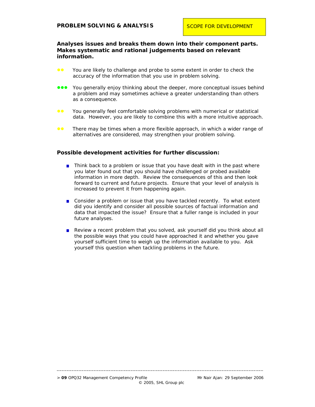## **Analyses issues and breaks them down into their component parts. Makes systematic and rational judgements based on relevant information.**

- **••** You are likely to challenge and probe to some extent in order to check the accuracy of the information that you use in problem solving.
- **OCO** You generally enjoy thinking about the deeper, more conceptual issues behind a problem and may sometimes achieve a greater understanding than others as a consequence.
- You generally feel comfortable solving problems with numerical or statistical data. However, you are likely to combine this with a more intuitive approach.
- **••** There may be times when a more flexible approach, in which a wider range of alternatives are considered, may strengthen your problem solving.

#### **Possible development activities for further discussion:**

- **n** Think back to a problem or issue that you have dealt with in the past where you later found out that you should have challenged or probed available information in more depth. Review the consequences of this and then look forward to current and future projects. Ensure that your level of analysis is increased to prevent it from happening again.
- **Consider a problem or issue that you have tackled recently. To what extent** did you identify and consider all possible sources of factual information and data that impacted the issue? Ensure that a fuller range is included in your future analyses.
- Review a recent problem that you solved, ask yourself did you think about all the possible ways that you could have approached it and whether you gave yourself sufficient time to weigh up the information available to you. Ask yourself this question when tackling problems in the future.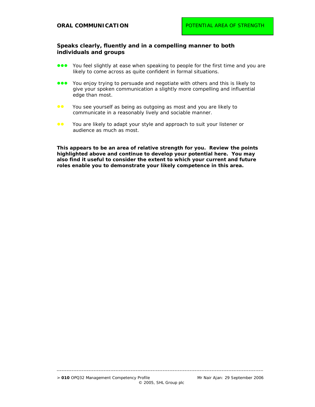## **Speaks clearly, fluently and in a compelling manner to both individuals and groups**

- You feel slightly at ease when speaking to people for the first time and you are likely to come across as quite confident in formal situations.
- **...** You enjoy trying to persuade and negotiate with others and this is likely to give your spoken communication a slightly more compelling and influential edge than most.
- **••** You see yourself as being as outgoing as most and you are likely to communicate in a reasonably lively and sociable manner.
- ●● You are likely to adapt your style and approach to suit your listener or audience as much as most.

**This appears to be an area of relative strength for you. Review the points highlighted above and continue to develop your potential here. You may also find it useful to consider the extent to which your current and future roles enable you to demonstrate your likely competence in this area.**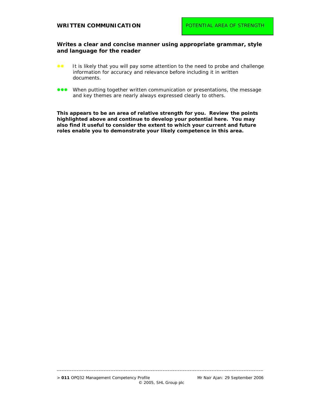## **Writes a clear and concise manner using appropriate grammar, style and language for the reader**

- It is likely that you will pay some attention to the need to probe and challenge information for accuracy and relevance before including it in written documents.
- **.** When putting together written communication or presentations, the message and key themes are nearly always expressed clearly to others.

**This appears to be an area of relative strength for you. Review the points highlighted above and continue to develop your potential here. You may also find it useful to consider the extent to which your current and future roles enable you to demonstrate your likely competence in this area.**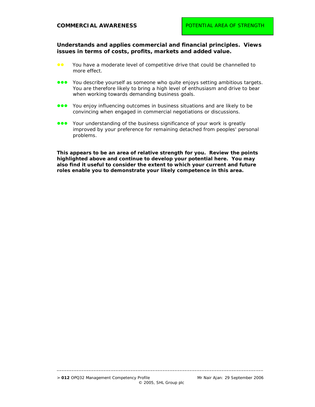**COMMERCIAL AWARENESS** 

**Understands and applies commercial and financial principles. Views issues in terms of costs, profits, markets and added value.** 

- **••** You have a moderate level of competitive drive that could be channelled to more effect.
- You describe yourself as someone who quite enjoys setting ambitious targets. You are therefore likely to bring a high level of enthusiasm and drive to bear when working towards demanding business goals.
- You enjoy influencing outcomes in business situations and are likely to be convincing when engaged in commercial negotiations or discussions.
- Your understanding of the business significance of your work is greatly improved by your preference for remaining detached from peoples' personal problems.

**This appears to be an area of relative strength for you. Review the points highlighted above and continue to develop your potential here. You may also find it useful to consider the extent to which your current and future roles enable you to demonstrate your likely competence in this area.**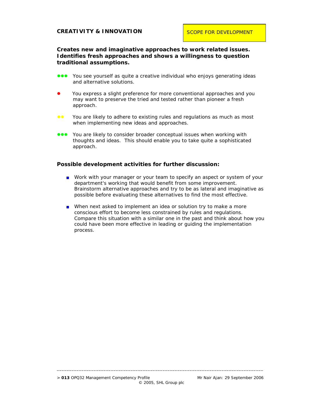**Creates new and imaginative approaches to work related issues. Identifies fresh approaches and shows a willingness to question traditional assumptions.** 

- You see yourself as quite a creative individual who enjoys generating ideas and alternative solutions.
- You express a slight preference for more conventional approaches and you may want to preserve the tried and tested rather than pioneer a fresh approach.
- **••** You are likely to adhere to existing rules and regulations as much as most when implementing new ideas and approaches.
- **ODE** You are likely to consider broader conceptual issues when working with thoughts and ideas. This should enable you to take quite a sophisticated approach.

#### **Possible development activities for further discussion:**

- Work with your manager or your team to specify an aspect or system of your department's working that would benefit from some improvement. Brainstorm alternative approaches and try to be as lateral and imaginative as possible before evaluating these alternatives to find the most effective.
- When next asked to implement an idea or solution try to make a more conscious effort to become less constrained by rules and regulations. Compare this situation with a similar one in the past and think about how you could have been more effective in leading or guiding the implementation process.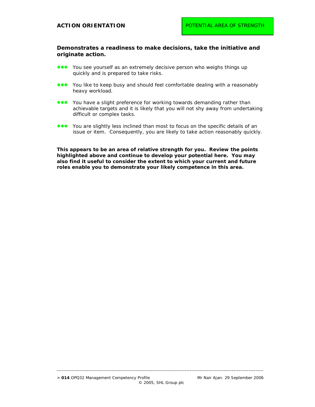## **Demonstrates a readiness to make decisions, take the initiative and originate action.**

- **...** You see yourself as an extremely decisive person who weighs things up quickly and is prepared to take risks.
- **...** You like to keep busy and should feel comfortable dealing with a reasonably heavy workload.
- You have a slight preference for working towards demanding rather than achievable targets and it is likely that you will not shy away from undertaking difficult or complex tasks.
- You are slightly less inclined than most to focus on the specific details of an issue or item. Consequently, you are likely to take action reasonably quickly.

**This appears to be an area of relative strength for you. Review the points highlighted above and continue to develop your potential here. You may also find it useful to consider the extent to which your current and future roles enable you to demonstrate your likely competence in this area.**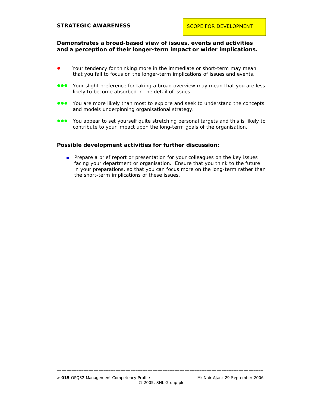## **STRATEGIC AWARENESS**

## **Demonstrates a broad-based view of issues, events and activities and a perception of their longer-term impact or wider implications.**

- Your tendency for thinking more in the immediate or short-term may mean that you fail to focus on the longer-term implications of issues and events.
- Your slight preference for taking a broad overview may mean that you are less likely to become absorbed in the detail of issues.
- You are more likely than most to explore and seek to understand the concepts and models underpinning organisational strategy.
- You appear to set yourself quite stretching personal targets and this is likely to contribute to your impact upon the long-term goals of the organisation.

#### **Possible development activities for further discussion:**

**Prepare a brief report or presentation for your colleagues on the key issues** facing your department or organisation. Ensure that you think to the future in your preparations, so that you can focus more on the long-term rather than the short-term implications of these issues.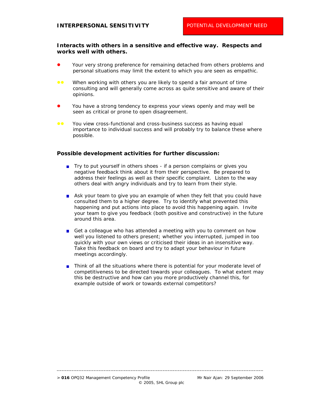#### **Interacts with others in a sensitive and effective way. Respects and works well with others.**

- Your very strong preference for remaining detached from others problems and personal situations may limit the extent to which you are seen as empathic.
- **OC** When working with others you are likely to spend a fair amount of time consulting and will generally come across as quite sensitive and aware of their opinions.
- You have a strong tendency to express your views openly and may well be seen as critical or prone to open disagreement.
- **••** You view cross-functional and cross-business success as having equal importance to individual success and will probably try to balance these where possible.

#### **Possible development activities for further discussion:**

- Try to put yourself in others shoes if a person complains or gives you negative feedback think about it from their perspective. Be prepared to address their feelings as well as their specific complaint. Listen to the way others deal with angry individuals and try to learn from their style.
- Ask your team to give you an example of when they felt that you could have consulted them to a higher degree. Try to identify what prevented this happening and put actions into place to avoid this happening again. Invite your team to give you feedback (both positive and constructive) in the future around this area.
- Get a colleague who has attended a meeting with you to comment on how well you listened to others present; whether you interrupted, jumped in too quickly with your own views or criticised their ideas in an insensitive way. Take this feedback on board and try to adapt your behaviour in future meetings accordingly.
- **Think of all the situations where there is potential for your moderate level of** competitiveness to be directed towards your colleagues. To what extent may this be destructive and how can you more productively channel this, for example outside of work or towards external competitors?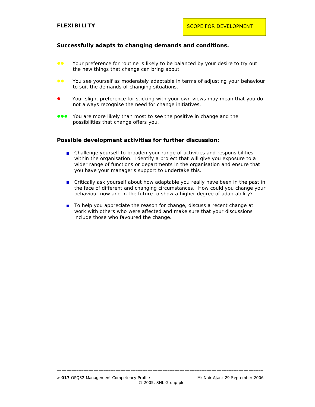## **Successfully adapts to changing demands and conditions.**

- **••** Your preference for routine is likely to be balanced by your desire to try out the new things that change can bring about.
- You see yourself as moderately adaptable in terms of adjusting your behaviour to suit the demands of changing situations.
- Your slight preference for sticking with your own views may mean that you do not always recognise the need for change initiatives.
- **.** You are more likely than most to see the positive in change and the possibilities that change offers you.

#### **Possible development activities for further discussion:**

- Challenge yourself to broaden your range of activities and responsibilities within the organisation. Identify a project that will give you exposure to a wider range of functions or departments in the organisation and ensure that you have your manager's support to undertake this.
- Critically ask yourself about how adaptable you really have been in the past in the face of different and changing circumstances. How could you change your behaviour now and in the future to show a higher degree of adaptability?
- To help you appreciate the reason for change, discuss a recent change at work with others who were affected and make sure that your discussions include those who favoured the change.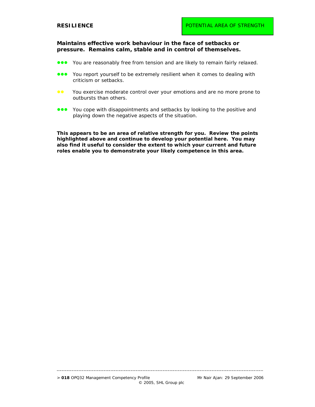**Maintains effective work behaviour in the face of setbacks or pressure. Remains calm, stable and in control of themselves.** 

- **OOO** You are reasonably free from tension and are likely to remain fairly relaxed.
- You report yourself to be extremely resilient when it comes to dealing with criticism or setbacks.
- **••** You exercise moderate control over your emotions and are no more prone to outbursts than others.
- You cope with disappointments and setbacks by looking to the positive and playing down the negative aspects of the situation.

**This appears to be an area of relative strength for you. Review the points highlighted above and continue to develop your potential here. You may also find it useful to consider the extent to which your current and future roles enable you to demonstrate your likely competence in this area.**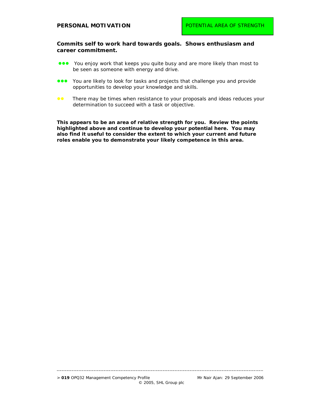## **PERSONAL MOTIVATION**

#### **Commits self to work hard towards goals. Shows enthusiasm and career commitment.**

- You enjoy work that keeps you quite busy and are more likely than most to be seen as someone with energy and drive.
- You are likely to look for tasks and projects that challenge you and provide opportunities to develop your knowledge and skills.
- **••** There may be times when resistance to your proposals and ideas reduces your determination to succeed with a task or objective.

**This appears to be an area of relative strength for you. Review the points highlighted above and continue to develop your potential here. You may also find it useful to consider the extent to which your current and future roles enable you to demonstrate your likely competence in this area.**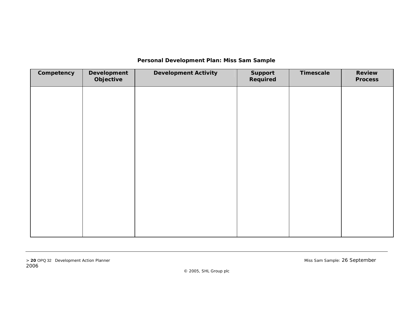## **Personal Development Plan: Miss Sam Sample**

| Competency | Development<br>Objective | <b>Development Activity</b> | Support<br>Required | Timescale | Review<br><b>Process</b> |
|------------|--------------------------|-----------------------------|---------------------|-----------|--------------------------|
|            |                          |                             |                     |           |                          |
|            |                          |                             |                     |           |                          |
|            |                          |                             |                     |           |                          |
|            |                          |                             |                     |           |                          |
|            |                          |                             |                     |           |                          |
|            |                          |                             |                     |           |                          |
|            |                          |                             |                     |           |                          |
|            |                          |                             |                     |           |                          |
|            |                          |                             |                     |           |                          |

© 2005, SHL Group plc